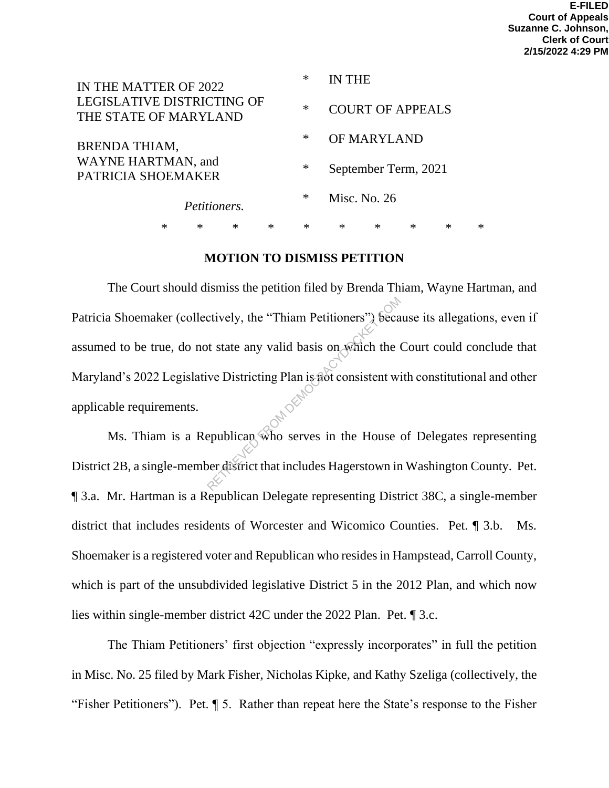| IN THE MATTER OF 2022                                      |   |              |             |        | $\ast$ | IN THE                  |              |   |        |   |
|------------------------------------------------------------|---|--------------|-------------|--------|--------|-------------------------|--------------|---|--------|---|
| <b>LEGISLATIVE DISTRICTING OF</b><br>THE STATE OF MARYLAND |   |              |             |        | $\ast$ | <b>COURT OF APPEALS</b> |              |   |        |   |
| <b>BRENDA THIAM,</b>                                       |   | ∗            | OF MARYLAND |        |        |                         |              |   |        |   |
| WAYNE HARTMAN, and<br>PATRICIA SHOEMAKER                   |   |              |             |        |        | September Term, 2021    |              |   |        |   |
|                                                            |   | Petitioners. |             |        | ∗      |                         | Misc. No. 26 |   |        |   |
|                                                            | ∗ | $\ast$       | $\ast$      | $\ast$ | ∗      | $\ast$                  | ∗            | ∗ | $\ast$ | ∗ |

### **MOTION TO DISMISS PETITION**

The Court should dismiss the petition filed by Brenda Thiam, Wayne Hartman, and Patricia Shoemaker (collectively, the "Thiam Petitioners") because its allegations, even if assumed to be true, do not state any valid basis on which the Court could conclude that Maryland's 2022 Legislative Districting Plan is not consistent with constitutional and other applicable requirements. etively, the "Thiam Petitioners") because the state any valid basis on which the vertical plan is not consistent with the Districting Plan is not consistent with epublican who serves in the House of district that includes

Ms. Thiam is a Republican who serves in the House of Delegates representing District 2B, a single-member district that includes Hagerstown in Washington County. Pet. ¶ 3.a. Mr. Hartman is a Republican Delegate representing District 38C, a single-member district that includes residents of Worcester and Wicomico Counties. Pet. ¶ 3.b. Ms. Shoemaker is a registered voter and Republican who resides in Hampstead, Carroll County, which is part of the unsubdivided legislative District 5 in the 2012 Plan, and which now lies within single-member district 42C under the 2022 Plan. Pet. ¶ 3.c.

The Thiam Petitioners' first objection "expressly incorporates" in full the petition in Misc. No. 25 filed by Mark Fisher, Nicholas Kipke, and Kathy Szeliga (collectively, the "Fisher Petitioners"). Pet. ¶ 5. Rather than repeat here the State's response to the Fisher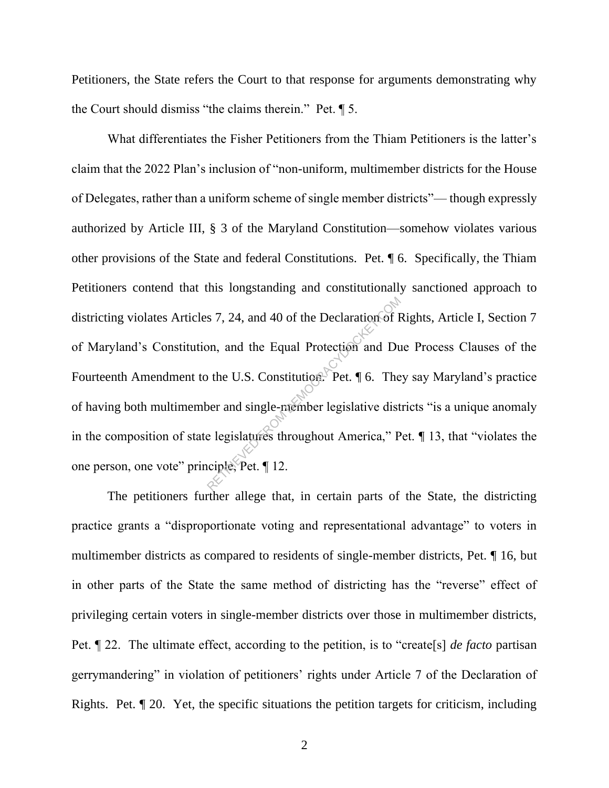Petitioners, the State refers the Court to that response for arguments demonstrating why the Court should dismiss "the claims therein." Pet. ¶ 5.

What differentiates the Fisher Petitioners from the Thiam Petitioners is the latter's claim that the 2022 Plan's inclusion of "non-uniform, multimember districts for the House of Delegates, rather than a uniform scheme of single member districts"— though expressly authorized by Article III, § 3 of the Maryland Constitution—somehow violates various other provisions of the State and federal Constitutions. Pet. ¶ 6. Specifically, the Thiam Petitioners contend that this longstanding and constitutionally sanctioned approach to districting violates Articles 7, 24, and 40 of the Declaration of Rights, Article I, Section 7 of Maryland's Constitution, and the Equal Protection and Due Process Clauses of the Fourteenth Amendment to the U.S. Constitution. Pet. ¶ 6. They say Maryland's practice of having both multimember and single-member legislative districts "is a unique anomaly in the composition of state legislatures throughout America," Pet. ¶ 13, that "violates the one person, one vote" principle, Pet. ¶ 12. s 7, 24, and 40 of the Declaration of  $R$ <br>bon, and the Equal Protection and Du<br>b the U.S. Constitution. Pet.  $\P$  6. The<br>ber and single-member legislative dist<br>e legislatures throughout America," P<br>ciple, Pet.  $\P$  12.

The petitioners further allege that, in certain parts of the State, the districting practice grants a "disproportionate voting and representational advantage" to voters in multimember districts as compared to residents of single-member districts, Pet. ¶ 16, but in other parts of the State the same method of districting has the "reverse" effect of privileging certain voters in single-member districts over those in multimember districts, Pet. ¶ 22. The ultimate effect, according to the petition, is to "create[s] *de facto* partisan gerrymandering" in violation of petitioners' rights under Article 7 of the Declaration of Rights. Pet. ¶ 20. Yet, the specific situations the petition targets for criticism, including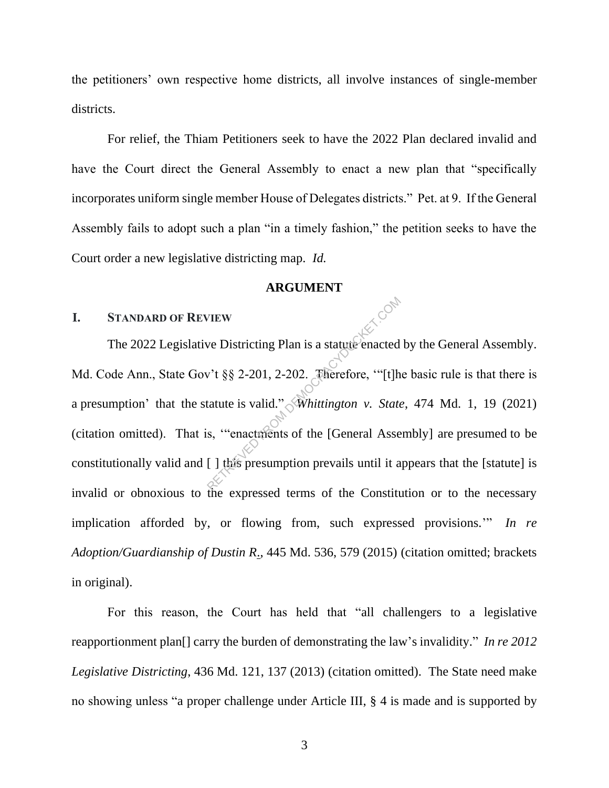the petitioners' own respective home districts, all involve instances of single-member districts.

For relief, the Thiam Petitioners seek to have the 2022 Plan declared invalid and have the Court direct the General Assembly to enact a new plan that "specifically incorporates uniform single member House of Delegates districts." Pet. at 9. If the General Assembly fails to adopt such a plan "in a timely fashion," the petition seeks to have the Court order a new legislative districting map. *Id.*

#### **ARGUMENT**

#### **I. STANDARD OF REVIEW**

The 2022 Legislative Districting Plan is a statute enacted by the General Assembly. Md. Code Ann., State Gov't §§ 2-201, 2-202. Therefore, '"[t]he basic rule is that there is a presumption' that the statute is valid." *Whittington v. State*, 474 Md. 1, 19 (2021) (citation omitted). That is, '"enactments of the [General Assembly] are presumed to be constitutionally valid and [ ] this presumption prevails until it appears that the [statute] is invalid or obnoxious to the expressed terms of the Constitution or to the necessary implication afforded by, or flowing from, such expressed provisions.'" *In re Adoption/Guardianship of Dustin R*., 445 Md. 536, 579 (2015) (citation omitted; brackets in original). VIEW<br>
we Districting Plan is a statute enacted<br>
v't §§ 2-201, 2-202. Therefore, "[t]h<br>
tatute is valid." Whittington v. State<br>
s, "enactments of the [General Asse<br>
[] this presumption prevails until it a

For this reason, the Court has held that "all challengers to a legislative reapportionment plan[] carry the burden of demonstrating the law's invalidity." *In re 2012 Legislative Districting*, 436 Md. 121, 137 (2013) (citation omitted). The State need make no showing unless "a proper challenge under Article III, § 4 is made and is supported by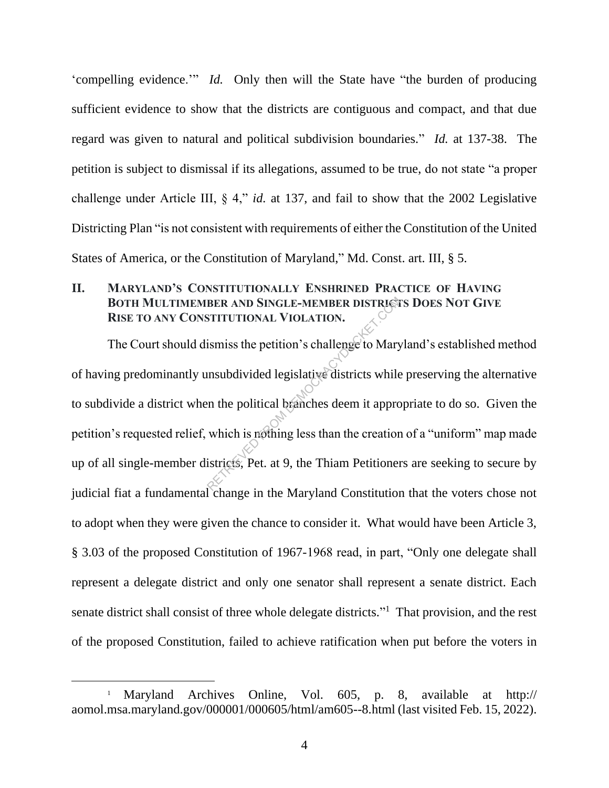'compelling evidence.'" *Id.* Only then will the State have "the burden of producing sufficient evidence to show that the districts are contiguous and compact, and that due regard was given to natural and political subdivision boundaries." *Id.* at 137-38. The petition is subject to dismissal if its allegations, assumed to be true, do not state "a proper challenge under Article III, § 4," *id.* at 137, and fail to show that the 2002 Legislative Districting Plan "is not consistent with requirements of either the Constitution of the United States of America, or the Constitution of Maryland," Md. Const. art. III, § 5.

## **II. MARYLAND'S CONSTITUTIONALLY ENSHRINED PRACTICE OF HAVING BOTH MULTIMEMBER AND SINGLE-MEMBER DISTRICTS DOES NOT GIVE RISE TO ANY CONSTITUTIONAL VIOLATION.**

The Court should dismiss the petition's challenge to Maryland's established method of having predominantly unsubdivided legislative districts while preserving the alternative to subdivide a district when the political branches deem it appropriate to do so. Given the petition's requested relief, which is nothing less than the creation of a "uniform" map made up of all single-member districts, Pet. at 9, the Thiam Petitioners are seeking to secure by judicial fiat a fundamental change in the Maryland Constitution that the voters chose not to adopt when they were given the chance to consider it. What would have been Article 3, § 3.03 of the proposed Constitution of 1967-1968 read, in part, "Only one delegate shall represent a delegate district and only one senator shall represent a senate district. Each senate district shall consist of three whole delegate districts."<sup>1</sup> That provision, and the rest of the proposed Constitution, failed to achieve ratification when put before the voters in BER AND SINGLE-MEMBER DISTRICT<br>
STITUTIONAL VIOLATION.<br>
ismiss the petition's challenge to Mary<br>
insubdivided legislative districts while<br>
in the political branches deem it approx<br>
which is nothing less than the creation<br>

<sup>1</sup> Maryland Archives Online, Vol. 605, p. 8, available at http:// aomol.msa.maryland.gov/000001/000605/html/am605--8.html (last visited Feb. 15, 2022).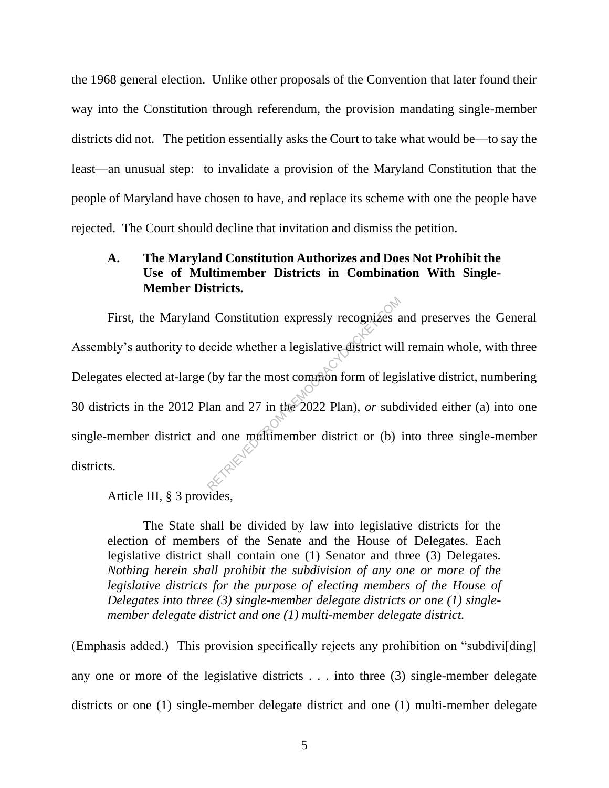the 1968 general election. Unlike other proposals of the Convention that later found their way into the Constitution through referendum, the provision mandating single-member districts did not. The petition essentially asks the Court to take what would be—to say the least—an unusual step: to invalidate a provision of the Maryland Constitution that the people of Maryland have chosen to have, and replace its scheme with one the people have rejected. The Court should decline that invitation and dismiss the petition.

## **A. The Maryland Constitution Authorizes and Does Not Prohibit the Use of Multimember Districts in Combination With Single-Member Districts.**

First, the Maryland Constitution expressly recognizes and preserves the General Assembly's authority to decide whether a legislative district will remain whole, with three Delegates elected at-large (by far the most common form of legislative district, numbering 30 districts in the 2012 Plan and 27 in the 2022 Plan), *or* subdivided either (a) into one single-member district and one multimember district or (b) into three single-member districts. d Constitution expressly recognizes a<br>ecide whether a legislative district wil<br>(by far the most common form of legi<br>lan and 27 in the 2022 Plan), *or* suboud one multimember district or (b)

Article III, § 3 provides,

The State shall be divided by law into legislative districts for the election of members of the Senate and the House of Delegates. Each legislative district shall contain one (1) Senator and three (3) Delegates. *Nothing herein shall prohibit the subdivision of any one or more of the legislative districts for the purpose of electing members of the House of Delegates into three (3) single-member delegate districts or one (1) singlemember delegate district and one (1) multi-member delegate district.*

(Emphasis added.) This provision specifically rejects any prohibition on "subdivi[ding] any one or more of the legislative districts . . . into three (3) single-member delegate districts or one (1) single-member delegate district and one (1) multi-member delegate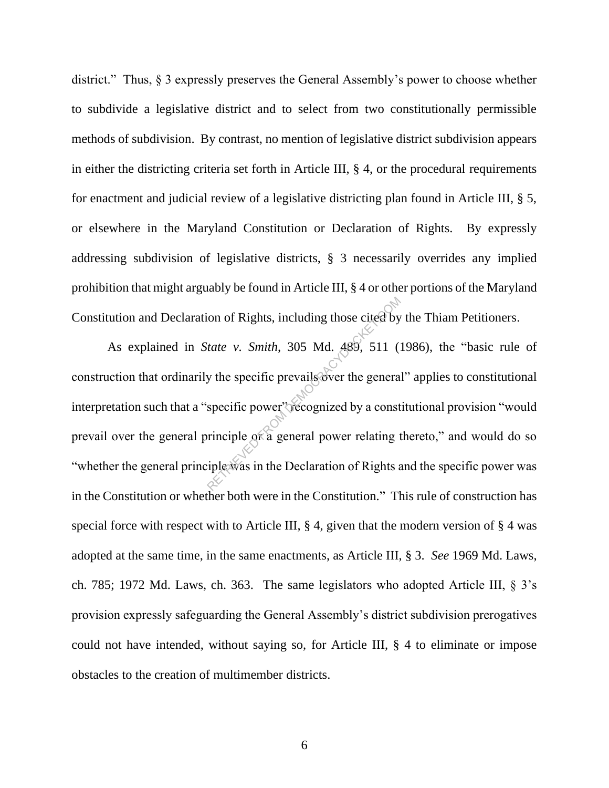district." Thus, § 3 expressly preserves the General Assembly's power to choose whether to subdivide a legislative district and to select from two constitutionally permissible methods of subdivision. By contrast, no mention of legislative district subdivision appears in either the districting criteria set forth in Article III, § 4, or the procedural requirements for enactment and judicial review of a legislative districting plan found in Article III, § 5, or elsewhere in the Maryland Constitution or Declaration of Rights. By expressly addressing subdivision of legislative districts, § 3 necessarily overrides any implied prohibition that might arguably be found in Article III, § 4 or other portions of the Maryland Constitution and Declaration of Rights, including those cited by the Thiam Petitioners.

As explained in *State v. Smith*, 305 Md. 489, 511 (1986), the "basic rule of construction that ordinarily the specific prevails over the general" applies to constitutional interpretation such that a "specific power" recognized by a constitutional provision "would prevail over the general principle or a general power relating thereto," and would do so "whether the general principle was in the Declaration of Rights and the specific power was in the Constitution or whether both were in the Constitution." This rule of construction has special force with respect with to Article III,  $\S 4$ , given that the modern version of  $\S 4$  was adopted at the same time, in the same enactments, as Article III, § 3. *See* 1969 Md. Laws, ch. 785; 1972 Md. Laws, ch. 363. The same legislators who adopted Article III, § 3's provision expressly safeguarding the General Assembly's district subdivision prerogatives could not have intended, without saying so, for Article III, § 4 to eliminate or impose obstacles to the creation of multimember districts. on of Rights, including those cited by<br>
tate v. Smith, 305 Md. 489, 511 (<br>
y the specific prevails over the genera<br>
specific power recognized by a const<br>
rinciple of a general power relating the<br>
iple was in the Declaratio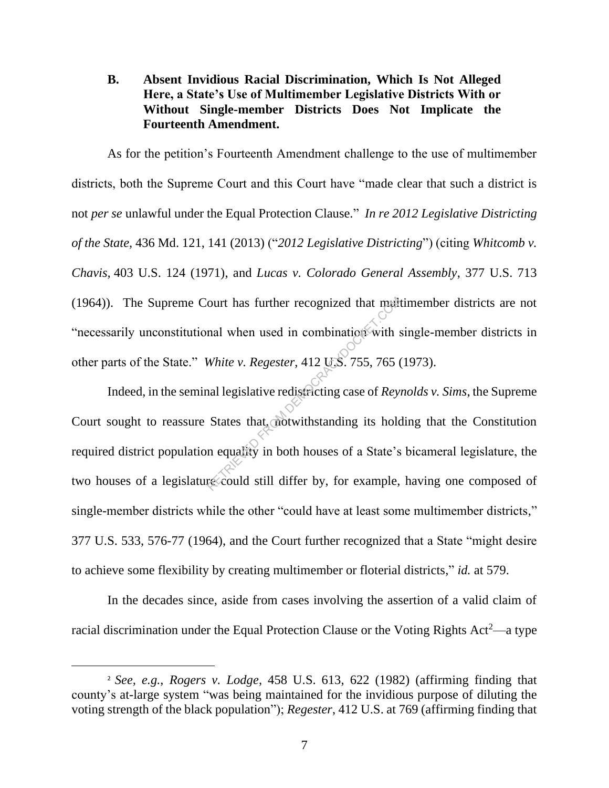## **B. Absent Invidious Racial Discrimination, Which Is Not Alleged Here, a State's Use of Multimember Legislative Districts With or Without Single-member Districts Does Not Implicate the Fourteenth Amendment.**

As for the petition's Fourteenth Amendment challenge to the use of multimember districts, both the Supreme Court and this Court have "made clear that such a district is not *per se* unlawful under the Equal Protection Clause." *In re 2012 Legislative Districting of the State*, 436 Md. 121, 141 (2013) ("*2012 Legislative Districting*") (citing *Whitcomb v. Chavis,* 403 U.S. 124 (1971), and *Lucas v. Colorado General Assembly*, 377 U.S. 713 (1964)). The Supreme Court has further recognized that multimember districts are not "necessarily unconstitutional when used in combination with single-member districts in other parts of the State." *White v. Regester*, 412 U.S. 755, 765 (1973).

Indeed, in the seminal legislative redistricting case of *Reynolds v. Sims*, the Supreme Court sought to reassure States that, notwithstanding its holding that the Constitution required district population equality in both houses of a State's bicameral legislature, the two houses of a legislature could still differ by, for example, having one composed of single-member districts while the other "could have at least some multimember districts," 377 U.S. 533, 576-77 (1964), and the Court further recognized that a State "might desire to achieve some flexibility by creating multimember or floterial districts," *id.* at 579. ourt has further recognized that method<br>
mal when used in combination with s<br>
White v. Regester, 412 U.S. 755, 765 (<br>
al legislative redistricting case of Rey.<br>
States that motivithstanding its hold<br>
n equality in both hou

In the decades since, aside from cases involving the assertion of a valid claim of racial discrimination under the Equal Protection Clause or the Voting Rights Act<sup>2</sup>—a type

<sup>2</sup> *See, e.g.*, *Rogers v. Lodge*, 458 U.S. 613, 622 (1982) (affirming finding that county's at-large system "was being maintained for the invidious purpose of diluting the voting strength of the black population"); *Regester*, 412 U.S. at 769 (affirming finding that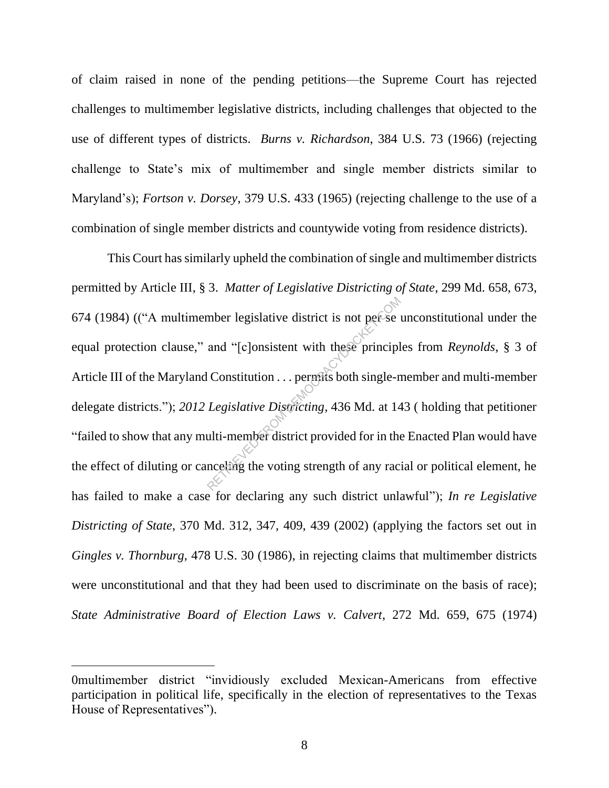of claim raised in none of the pending petitions—the Supreme Court has rejected challenges to multimember legislative districts, including challenges that objected to the use of different types of districts. *Burns v. Richardson*, 384 U.S. 73 (1966) (rejecting challenge to State's mix of multimember and single member districts similar to Maryland's); *Fortson v. Dorsey*, 379 U.S. 433 (1965) (rejecting challenge to the use of a combination of single member districts and countywide voting from residence districts).

This Court has similarly upheld the combination of single and multimember districts permitted by Article III, § 3. *Matter of Legislative Districting of State*, 299 Md. 658, 673, 674 (1984) (("A multimember legislative district is not per se unconstitutional under the equal protection clause," and "[c]onsistent with these principles from *Reynolds*, § 3 of Article III of the Maryland Constitution . . . permits both single-member and multi-member delegate districts."); *2012 Legislative Districting*, 436 Md. at 143 ( holding that petitioner "failed to show that any multi-member district provided for in the Enacted Plan would have the effect of diluting or canceling the voting strength of any racial or political element, he has failed to make a case for declaring any such district unlawful"); *In re Legislative Districting of State*, 370 Md. 312, 347, 409, 439 (2002) (applying the factors set out in *Gingles v. Thornburg*, 478 U.S. 30 (1986), in rejecting claims that multimember districts were unconstitutional and that they had been used to discriminate on the basis of race); *State Administrative Board of Election Laws v. Calvert*, 272 Md. 659, 675 (1974) mber legislative district is not persent<br>and "[c]onsistent with these principl<br>Constitution ... permits both single-r<br>Legislative Districting, 436 Md. at 14<br>ulti-member district provided for in the<br>nceling the voting stren

<sup>0</sup>multimember district "invidiously excluded Mexican-Americans from effective participation in political life, specifically in the election of representatives to the Texas House of Representatives").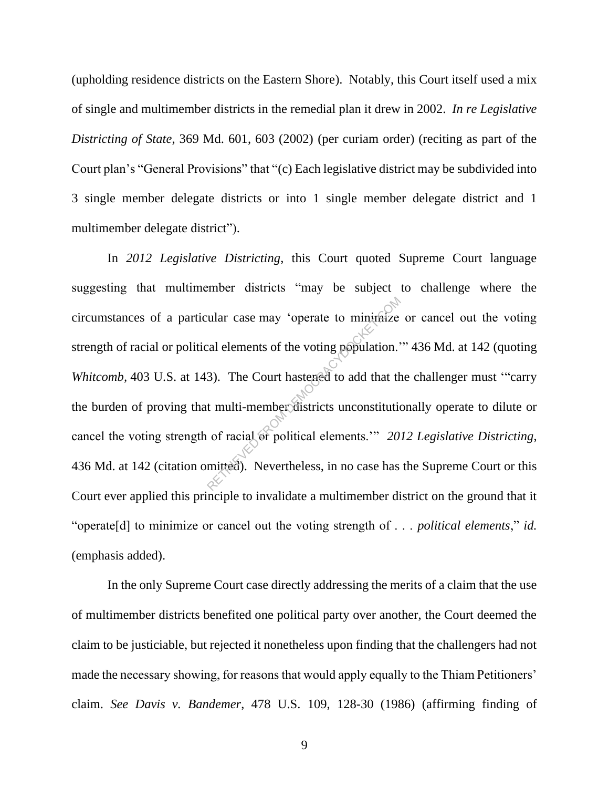(upholding residence districts on the Eastern Shore). Notably, this Court itself used a mix of single and multimember districts in the remedial plan it drew in 2002. *In re Legislative Districting of State*, 369 Md. 601, 603 (2002) (per curiam order) (reciting as part of the Court plan's "General Provisions" that "(c) Each legislative district may be subdivided into 3 single member delegate districts or into 1 single member delegate district and 1 multimember delegate district").

In *2012 Legislative Districting*, this Court quoted Supreme Court language suggesting that multimember districts "may be subject to challenge where the circumstances of a particular case may 'operate to minimize or cancel out the voting strength of racial or political elements of the voting population.'" 436 Md. at 142 (quoting *Whitcomb,* 403 U.S. at 143). The Court hastened to add that the challenger must '"carry the burden of proving that multi-member districts unconstitutionally operate to dilute or cancel the voting strength of racial or political elements.'" *2012 Legislative Districting*, 436 Md. at 142 (citation omitted). Nevertheless, in no case has the Supreme Court or this Court ever applied this principle to invalidate a multimember district on the ground that it "operate[d] to minimize or cancel out the voting strength of . . . *political elements*," *id.* (emphasis added). we cal elements of the voting population.<br>
The Court hastened to add that the turn multi-member districts unconstitution<br>
of racial or political elements." 20.<br>
mitted). Nevertheless, in no case has

In the only Supreme Court case directly addressing the merits of a claim that the use of multimember districts benefited one political party over another, the Court deemed the claim to be justiciable, but rejected it nonetheless upon finding that the challengers had not made the necessary showing, for reasons that would apply equally to the Thiam Petitioners' claim. *See Davis v. Bandemer*, 478 U.S. 109, 128-30 (1986) (affirming finding of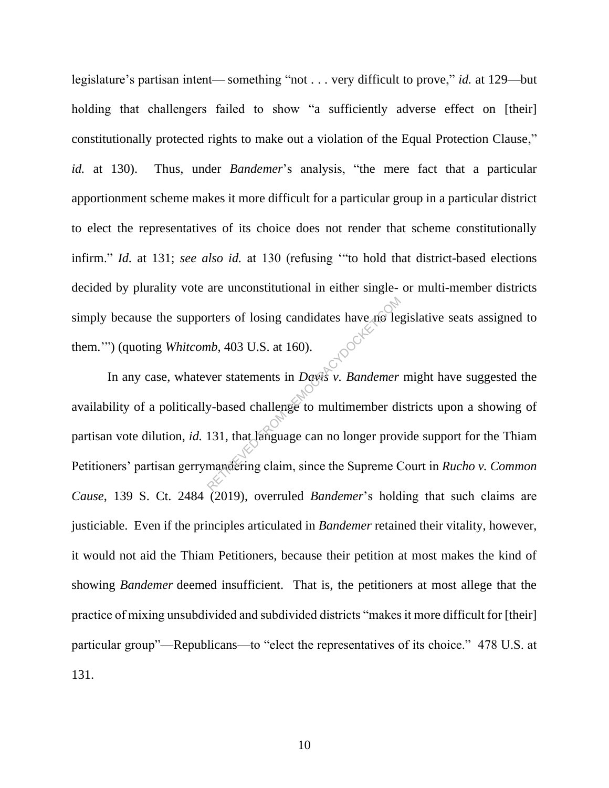legislature's partisan intent— something "not . . . very difficult to prove," *id.* at 129—but holding that challengers failed to show "a sufficiently adverse effect on [their] constitutionally protected rights to make out a violation of the Equal Protection Clause," *id.* at 130). Thus, under *Bandemer*'s analysis, "the mere fact that a particular apportionment scheme makes it more difficult for a particular group in a particular district to elect the representatives of its choice does not render that scheme constitutionally infirm." *Id.* at 131; *see also id.* at 130 (refusing '"to hold that district-based elections decided by plurality vote are unconstitutional in either single- or multi-member districts simply because the supporters of losing candidates have no legislative seats assigned to them.'") (quoting *Whitcomb*, 403 U.S. at 160).

In any case, whatever statements in *Davis v. Bandemer* might have suggested the availability of a politically-based challenge to multimember districts upon a showing of partisan vote dilution, *id.* 131, that language can no longer provide support for the Thiam Petitioners' partisan gerrymandering claim, since the Supreme Court in *Rucho v. Common Cause*, 139 S. Ct. 2484 (2019), overruled *Bandemer*'s holding that such claims are justiciable. Even if the principles articulated in *Bandemer* retained their vitality, however, it would not aid the Thiam Petitioners, because their petition at most makes the kind of showing *Bandemer* deemed insufficient. That is, the petitioners at most allege that the practice of mixing unsubdivided and subdivided districts "makes it more difficult for [their] particular group"—Republicans—to "elect the representatives of its choice." 478 U.S. at 131. The statements in Days v. Bandemer<br>wer statements in Days v. Bandemer<br>y-based challenge to multimember di<br>131, that language can no longer provo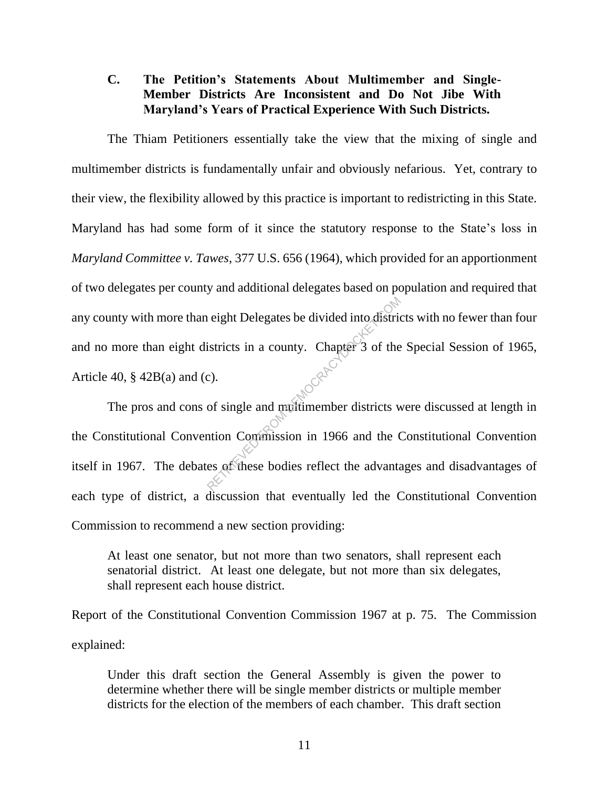## **C. The Petition's Statements About Multimember and Single-Member Districts Are Inconsistent and Do Not Jibe With Maryland's Years of Practical Experience With Such Districts.**

The Thiam Petitioners essentially take the view that the mixing of single and multimember districts is fundamentally unfair and obviously nefarious. Yet, contrary to their view, the flexibility allowed by this practice is important to redistricting in this State. Maryland has had some form of it since the statutory response to the State's loss in *Maryland Committee v. Tawes*, 377 U.S. 656 (1964), which provided for an apportionment of two delegates per county and additional delegates based on population and required that any county with more than eight Delegates be divided into districts with no fewer than four and no more than eight districts in a county. Chapter 3 of the Special Session of 1965, Article 40,  $\S$  42B(a) and (c).

The pros and cons of single and multimember districts were discussed at length in the Constitutional Convention Commission in 1966 and the Constitutional Convention itself in 1967. The debates of these bodies reflect the advantages and disadvantages of each type of district, a discussion that eventually led the Constitutional Convention Commission to recommend a new section providing: reight Delegates be divided into district<br>istricts in a county. Chapter 3 of the<br>c).<br>of single and multimember districts which Commission in 1966 and the C<br>es of these bodies reflect the advanta

At least one senator, but not more than two senators, shall represent each senatorial district. At least one delegate, but not more than six delegates, shall represent each house district.

Report of the Constitutional Convention Commission 1967 at p. 75. The Commission explained:

Under this draft section the General Assembly is given the power to determine whether there will be single member districts or multiple member districts for the election of the members of each chamber. This draft section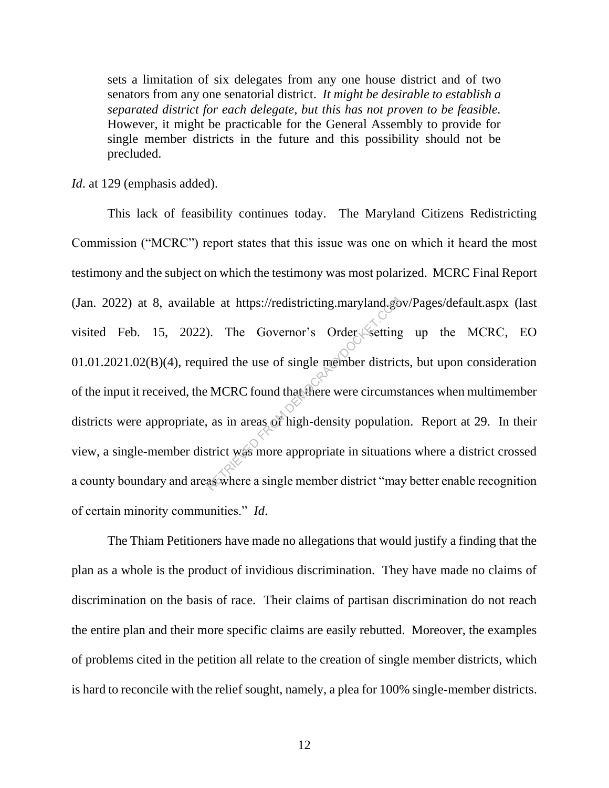sets a limitation of six delegates from any one house district and of two senators from any one senatorial district. *It might be desirable to establish a separated district for each delegate, but this has not proven to be feasible.* However, it might be practicable for the General Assembly to provide for single member districts in the future and this possibility should not be precluded.

*Id*. at 129 (emphasis added).

This lack of feasibility continues today. The Maryland Citizens Redistricting Commission ("MCRC") report states that this issue was one on which it heard the most testimony and the subject on which the testimony was most polarized. MCRC Final Report (Jan. 2022) at 8, available at https://redistricting.maryland.gov/Pages/default.aspx (last visited Feb. 15, 2022). The Governor's Order setting up the MCRC, EO 01.01.2021.02(B)(4), required the use of single member districts, but upon consideration of the input it received, the MCRC found that there were circumstances when multimember districts were appropriate, as in areas of high-density population. Report at 29. In their view, a single-member district was more appropriate in situations where a district crossed a county boundary and areas where a single member district "may better enable recognition of certain minority communities." *Id*. le at https://redistricting.maryland.gom/<br>
). The Governor's Order setting<br>
ired the use of single member district:<br>
MCRC found that there were circums<br>
as in areas of high-density populatic<br>
strict was more appropriate in

The Thiam Petitioners have made no allegations that would justify a finding that the plan as a whole is the product of invidious discrimination. They have made no claims of discrimination on the basis of race. Their claims of partisan discrimination do not reach the entire plan and their more specific claims are easily rebutted. Moreover, the examples of problems cited in the petition all relate to the creation of single member districts, which is hard to reconcile with the relief sought, namely, a plea for 100% single-member districts.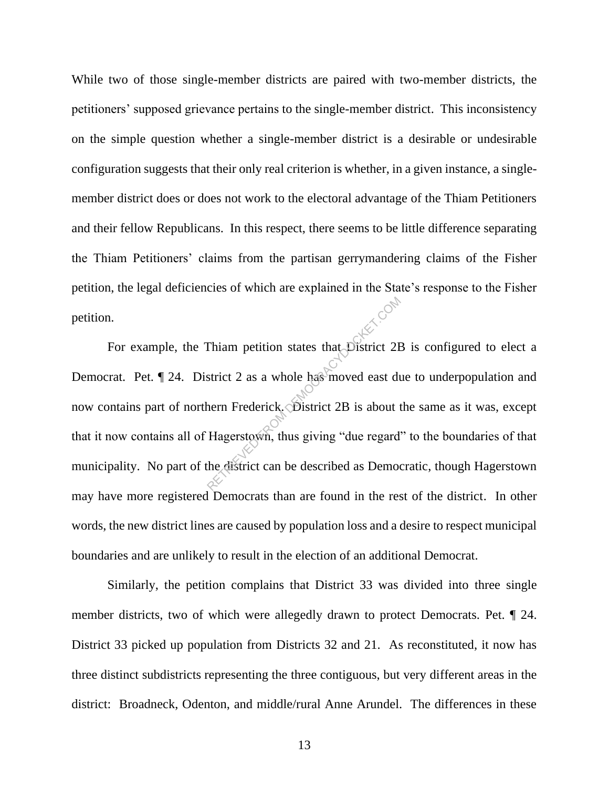While two of those single-member districts are paired with two-member districts, the petitioners' supposed grievance pertains to the single-member district. This inconsistency on the simple question whether a single-member district is a desirable or undesirable configuration suggests that their only real criterion is whether, in a given instance, a singlemember district does or does not work to the electoral advantage of the Thiam Petitioners and their fellow Republicans. In this respect, there seems to be little difference separating the Thiam Petitioners' claims from the partisan gerrymandering claims of the Fisher petition, the legal deficiencies of which are explained in the State's response to the Fisher petition.

For example, the Thiam petition states that District 2B is configured to elect a Democrat. Pet. ¶ 24. District 2 as a whole has moved east due to underpopulation and now contains part of northern Frederick. District 2B is about the same as it was, except that it now contains all of Hagerstown, thus giving "due regard" to the boundaries of that municipality. No part of the district can be described as Democratic, though Hagerstown may have more registered Democrats than are found in the rest of the district. In other words, the new district lines are caused by population loss and a desire to respect municipal boundaries and are unlikely to result in the election of an additional Democrat. Thiam petition states that District 2F<br>strict 2 as a whole has moved east du<br>hern Frederick. District 2B is about the<br>Hagerstown, thus giving "due regard"<br>the district can be described as Democ

Similarly, the petition complains that District 33 was divided into three single member districts, two of which were allegedly drawn to protect Democrats. Pet. ¶ 24. District 33 picked up population from Districts 32 and 21. As reconstituted, it now has three distinct subdistricts representing the three contiguous, but very different areas in the district: Broadneck, Odenton, and middle/rural Anne Arundel. The differences in these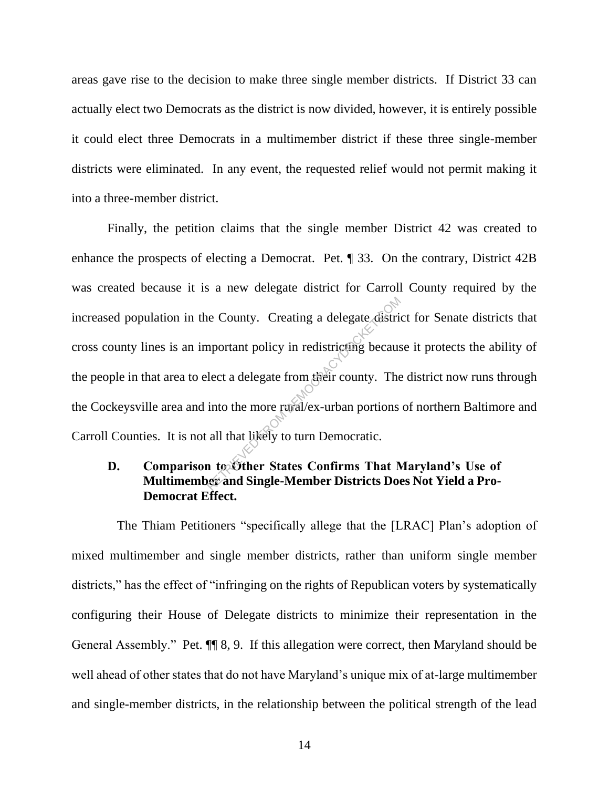areas gave rise to the decision to make three single member districts. If District 33 can actually elect two Democrats as the district is now divided, however, it is entirely possible it could elect three Democrats in a multimember district if these three single-member districts were eliminated. In any event, the requested relief would not permit making it into a three-member district.

Finally, the petition claims that the single member District 42 was created to enhance the prospects of electing a Democrat. Pet. ¶ 33. On the contrary, District 42B was created because it is a new delegate district for Carroll County required by the increased population in the County. Creating a delegate district for Senate districts that cross county lines is an important policy in redistricting because it protects the ability of the people in that area to elect a delegate from their county. The district now runs through the Cockeysville area and into the more rural/ex-urban portions of northern Baltimore and Carroll Counties. It is not all that likely to turn Democratic. Re County. Creating a delegate distri-<br>nportant policy in redistricting becaus<br>lect a delegate from their county. The<br>into the more raval/ex-urban portions<br>all that likely to turn Democratic.<br>n to Other States Confirms Tha

## **D. Comparison to Other States Confirms That Maryland's Use of Multimember and Single-Member Districts Does Not Yield a Pro-Democrat Effect.**

 The Thiam Petitioners "specifically allege that the [LRAC] Plan's adoption of mixed multimember and single member districts, rather than uniform single member districts," has the effect of "infringing on the rights of Republican voters by systematically configuring their House of Delegate districts to minimize their representation in the General Assembly." Pet. ¶¶ 8, 9. If this allegation were correct, then Maryland should be well ahead of other states that do not have Maryland's unique mix of at-large multimember and single-member districts, in the relationship between the political strength of the lead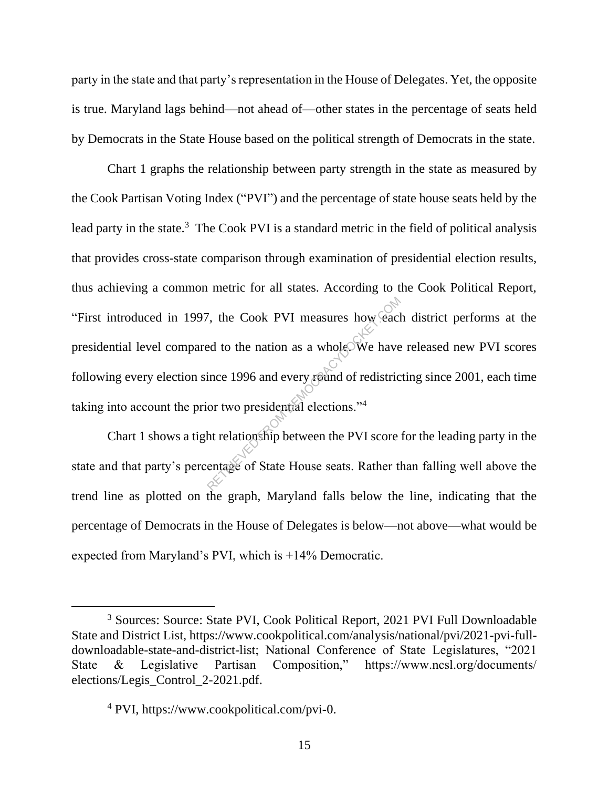party in the state and that party's representation in the House of Delegates. Yet, the opposite is true. Maryland lags behind—not ahead of—other states in the percentage of seats held by Democrats in the State House based on the political strength of Democrats in the state.

Chart 1 graphs the relationship between party strength in the state as measured by the Cook Partisan Voting Index ("PVI") and the percentage of state house seats held by the lead party in the state.<sup>3</sup> The Cook PVI is a standard metric in the field of political analysis that provides cross-state comparison through examination of presidential election results, thus achieving a common metric for all states. According to the Cook Political Report, "First introduced in 1997, the Cook PVI measures how each district performs at the presidential level compared to the nation as a whole. We have released new PVI scores following every election since 1996 and every round of redistricting since 2001, each time taking into account the prior two presidential elections."<sup>4</sup> From the Cook PVI measures how each can be also determined to the nation as a whole. We have ince 1996 and every reand of redistric or two presidential elections."<sup>4</sup><br>the relationship between the PVI score entage of State

Chart 1 shows a tight relationship between the PVI score for the leading party in the state and that party's percentage of State House seats. Rather than falling well above the trend line as plotted on the graph, Maryland falls below the line, indicating that the percentage of Democrats in the House of Delegates is below—not above—what would be expected from Maryland's PVI, which is +14% Democratic.

<sup>3</sup> Sources: Source: State PVI, Cook Political Report, 2021 PVI Full Downloadable State and District List, https://www.cookpolitical.com/analysis/national/pvi/2021-pvi-fulldownloadable-state-and-district-list; National Conference of State Legislatures, "2021 State & Legislative Partisan Composition," https://www.ncsl.org/documents/ elections/Legis\_Control\_2-2021.pdf.

<sup>4</sup> PVI, https://www.cookpolitical.com/pvi-0.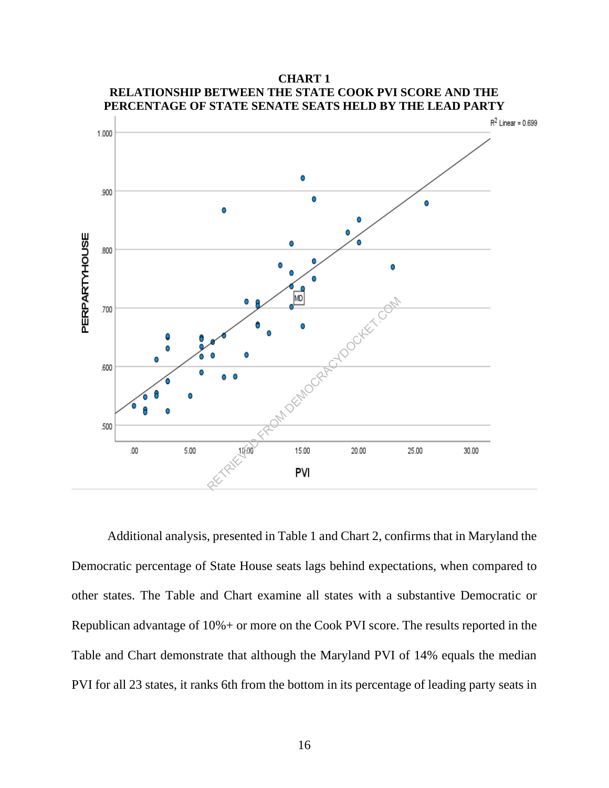

**CHART 1 RELATIONSHIP BETWEEN THE STATE COOK PVI SCORE AND THE** 

Additional analysis, presented in Table 1 and Chart 2, confirms that in Maryland the Democratic percentage of State House seats lags behind expectations, when compared to other states. The Table and Chart examine all states with a substantive Democratic or Republican advantage of 10%+ or more on the Cook PVI score. The results reported in the Table and Chart demonstrate that although the Maryland PVI of 14% equals the median PVI for all 23 states, it ranks 6th from the bottom in its percentage of leading party seats in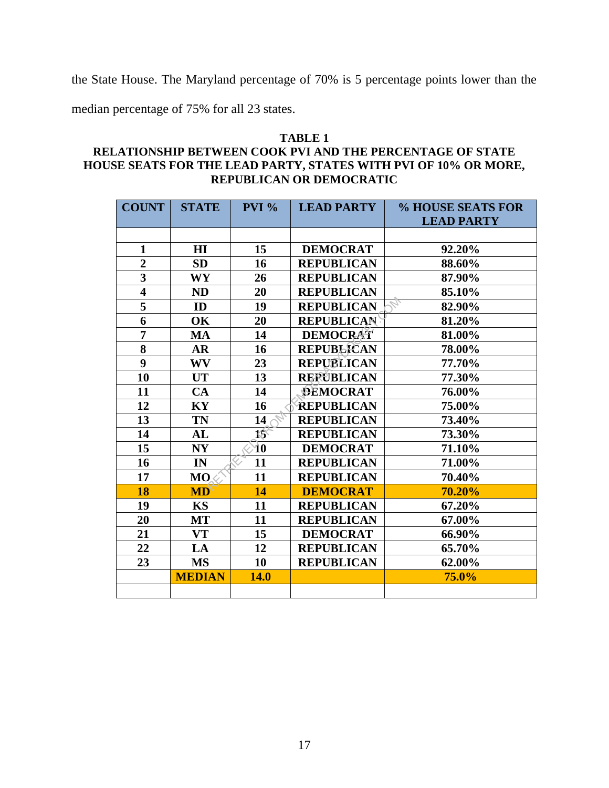the State House. The Maryland percentage of 70% is 5 percentage points lower than the

median percentage of 75% for all 23 states.

#### **TABLE 1 RELATIONSHIP BETWEEN COOK PVI AND THE PERCENTAGE OF STATE HOUSE SEATS FOR THE LEAD PARTY, STATES WITH PVI OF 10% OR MORE, REPUBLICAN OR DEMOCRATIC**

| <b>COUNT</b>            | <b>STATE</b>  | $PVI$ %              | <b>LEAD PARTY</b> | % HOUSE SEATS FOR |
|-------------------------|---------------|----------------------|-------------------|-------------------|
|                         |               |                      |                   | <b>LEAD PARTY</b> |
|                         |               |                      |                   |                   |
| $\mathbf{1}$            | H I           | 15                   | <b>DEMOCRAT</b>   | 92.20%            |
| $\overline{2}$          | <b>SD</b>     | 16                   | <b>REPUBLICAN</b> | 88.60%            |
| $\overline{\mathbf{3}}$ | WY            | 26                   | <b>REPUBLICAN</b> | 87.90%            |
| $\overline{\mathbf{4}}$ | <b>ND</b>     | 20                   | <b>REPUBLICAN</b> | 85.10%            |
| $\overline{5}$          | ID            | 19                   | <b>REPUBLICAN</b> | 82.90%            |
| 6                       | OK            | 20                   | <b>REPUBLICAN</b> | 81.20%            |
| $\overline{7}$          | <b>MA</b>     | 14                   | <b>DEMOCRAT</b>   | 81.00%            |
| 8                       | <b>AR</b>     | 16                   | <b>REPUBLICAN</b> | 78.00%            |
| $\boldsymbol{9}$        | <b>WV</b>     | 23                   | <b>REPUBLICAN</b> | 77.70%            |
| 10                      | <b>UT</b>     | 13                   | <b>REPUBLICAN</b> | 77.30%            |
| 11                      | CA            | 14                   | <b>DEMOCRAT</b>   | 76.00%            |
| 12                      | KY            | 16                   | <b>REPUBLICAN</b> | 75.00%            |
| 13                      | <b>TN</b>     | 14                   | <b>REPUBLICAN</b> | 73.40%            |
| 14                      | AL            | $15+$                | <b>REPUBLICAN</b> | 73.30%            |
| 15                      | NY            | À0                   | <b>DEMOCRAT</b>   | 71.10%            |
| 16                      | IN            | $\lt_{\times}$<br>11 | <b>REPUBLICAN</b> | 71.00%            |
| 17                      | MO            | 11                   | <b>REPUBLICAN</b> | 70.40%            |
| 18                      | <b>MD</b>     | 14                   | <b>DEMOCRAT</b>   | 70.20%            |
| 19                      | <b>KS</b>     | 11                   | <b>REPUBLICAN</b> | 67.20%            |
| 20                      | <b>MT</b>     | 11                   | <b>REPUBLICAN</b> | 67.00%            |
| 21                      | <b>VT</b>     | 15                   | <b>DEMOCRAT</b>   | 66.90%            |
| 22                      | LA            | 12                   | <b>REPUBLICAN</b> | 65.70%            |
| 23                      | <b>MS</b>     | 10                   | <b>REPUBLICAN</b> | 62.00%            |
|                         | <b>MEDIAN</b> | 14.0                 |                   | 75.0%             |
|                         |               |                      |                   |                   |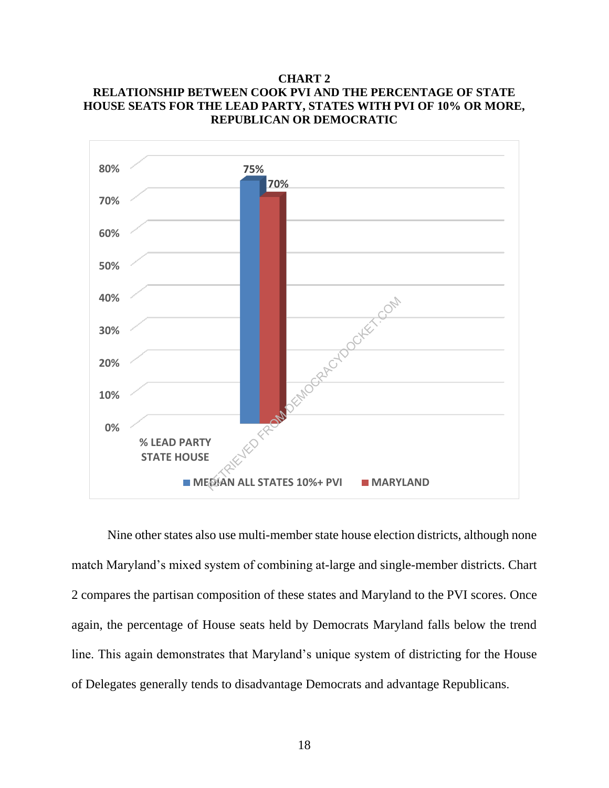#### **CHART 2 RELATIONSHIP BETWEEN COOK PVI AND THE PERCENTAGE OF STATE HOUSE SEATS FOR THE LEAD PARTY, STATES WITH PVI OF 10% OR MORE, REPUBLICAN OR DEMOCRATIC**



Nine other states also use multi-member state house election districts, although none match Maryland's mixed system of combining at-large and single-member districts. Chart 2 compares the partisan composition of these states and Maryland to the PVI scores. Once again, the percentage of House seats held by Democrats Maryland falls below the trend line. This again demonstrates that Maryland's unique system of districting for the House of Delegates generally tends to disadvantage Democrats and advantage Republicans.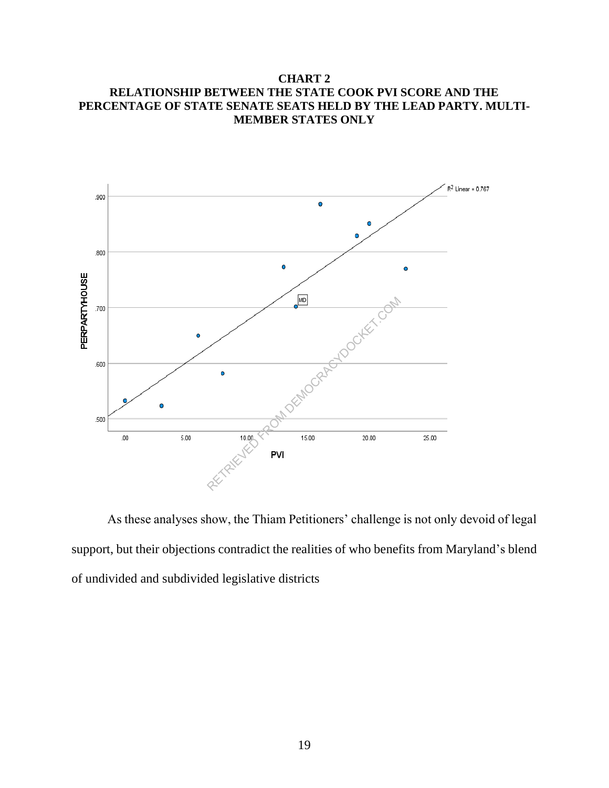### **CHART 2 RELATIONSHIP BETWEEN THE STATE COOK PVI SCORE AND THE PERCENTAGE OF STATE SENATE SEATS HELD BY THE LEAD PARTY. MULTI-MEMBER STATES ONLY**



As these analyses show, the Thiam Petitioners' challenge is not only devoid of legal support, but their objections contradict the realities of who benefits from Maryland's blend of undivided and subdivided legislative districts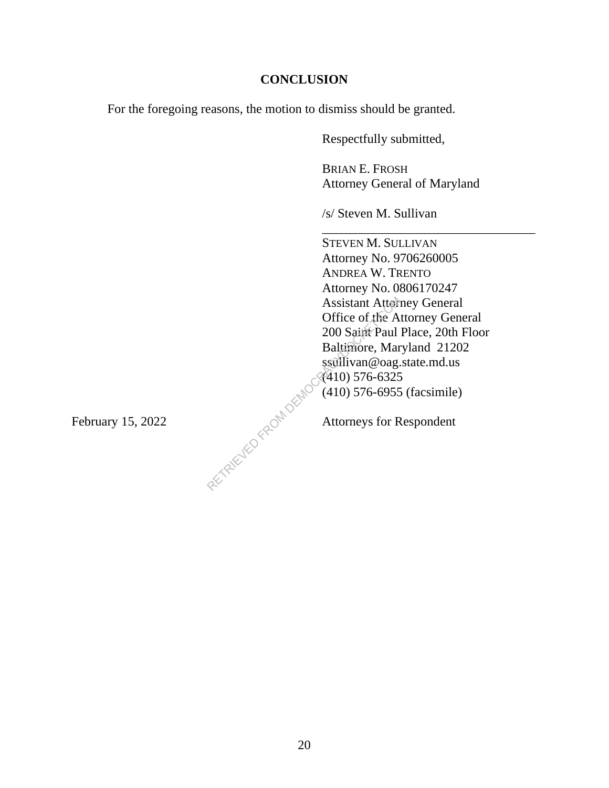#### **CONCLUSION**

For the foregoing reasons, the motion to dismiss should be granted.

Respectfully submitted,

BRIAN E. FROSH Attorney General of Maryland

\_\_\_\_\_\_\_\_\_\_\_\_\_\_\_\_\_\_\_\_\_\_\_\_\_\_\_\_\_\_\_\_\_

/s/ Steven M. Sullivan

STEVEN M. SULLIVAN Attorney No. 9706260005 ANDREA W. TRENTO Attorney No. 0806170247 Assistant Attorney General Office of the Attorney General 200 Saint Paul Place, 20th Floor Baltimore, Maryland 21202 ssullivan@oag.state.md.us (410) 576-6325 (410) 576-6955 (facsimile) Assistant Attorn<br>
Office of the A<br>
200 Saint Paul<br>
Baltimore, Mar<br>
ssullivan@oag.<br>
(410) 576-6325<br>
(410) 576-6955<br>
Attorneys for R

February 15, 2022  $\bigcirc^{\mathcal{N}}$  Attorneys for Respondent